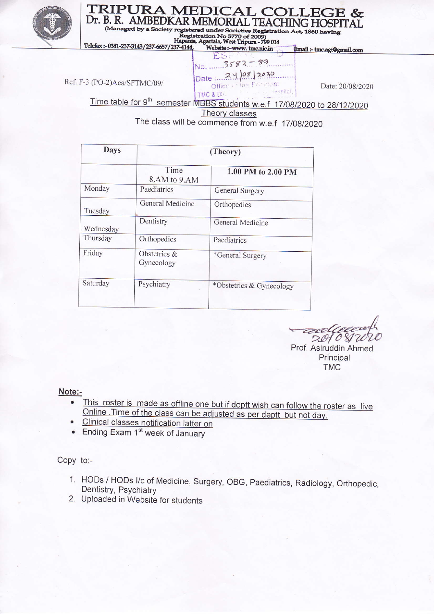

# TRIPURA MEDICAL COLLEGE & Dr. B. R. AMBEDKAR MEMORIAL TEACHING HOSPITAL (Managed by a S

egistered under Societies Registration Act, 1860 having

Registration No 5770 of 2009)<br>Hapania, Agartala, West Tripura - 799 014<br>37-4144, Website :- www.tmc.nic.in Telefax:-0381-237-3143/237-6657/237-4144

Ref. F-3 (PO-2)Aca/SFTMC/09/

H  $3582 - 89$ No. ......  $Date: 74)08 |2030.$ Office relies the capal TMC & DF

Date: 20/08/2020

Email :- tmc.agt@gmail.com

Time table for 9<sup>th</sup> semester MBBS students w.e.f 17/08/2020 to 28/12/2020

Theory classes

The class will be commence from w.e.f 17/08/2020

| <b>Days</b> | (Theory)                      |                          |  |
|-------------|-------------------------------|--------------------------|--|
|             | Time<br>8.AM to 9.AM          | 1.00 PM to 2.00 PM       |  |
| Monday      | Paediatrics                   | General Surgery          |  |
| Tuesday     | General Medicine              | Orthopedics              |  |
| Wednesday   | Dentistry                     | General Medicine         |  |
| Thursday    | Orthopedics                   | Paediatrics              |  |
| Friday      | Obstetrics $\&$<br>Gynecology | *General Surgery         |  |
| Saturday    | Psychiatry                    | *Obstetrics & Gynecology |  |

 $2010$  $\mathbf{\overline{X}}$ 

Prof. Asiruddin Ahmed Principal TMC

- Note:-<br>• This roster is made as offline one but if deptt wish can follow the roster as live  $\bullet$ <u>Online. Time of the class can be adjusted as per deptr but not day.</u>
	-
	- Ending Exam 1<sup>st</sup> week of January

Copy to:-

- '1. HODs / HODs l/c of Medicine, Surgery, OBG, paediatrics, Radiology, Orthopedic, Dentistry, Psychiatry
- 2. Uploaded in Website for students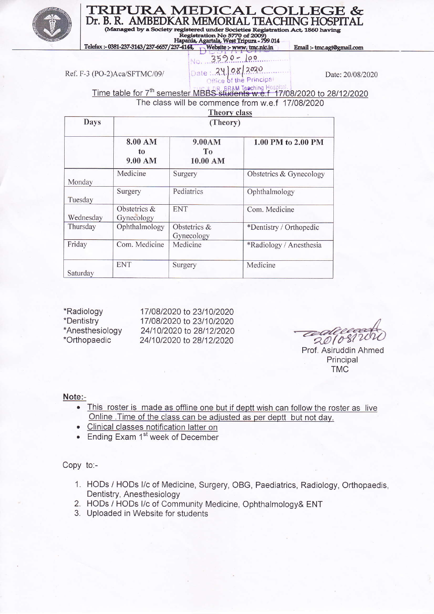

#### **TRIPURA MEDICAL COLLEC** 5E & Dr. B. R. AMBEDKAR MEMORIAL TEACHING HOSPITAL

registered under Societies Registration Act, 1860 having (Managed by

 $\frac{\text{Resistration}}{\text{Registration}}$  No. 770 of 2009)<br>
Hapania, Agartala, West Tripura - 799 014<br>
Telefax :- 0381-237-3143/237-6657/237-4144, Website :- www. tmc.nic.in

Email:-tmc.agt@gmail.com



Date: 20/08/2020

Ref. F-3 (PO-2)Aca/SFTMC/09/

Time table for 7<sup>th</sup> semester MBBS students w.e.f<sup>-17/08/2020</sup> to 28/12/2020

The class will be commence from w.e.f 17/08/2020

## **Theory class**

| <b>Days</b> | (Theory)                   |                              |                         |  |
|-------------|----------------------------|------------------------------|-------------------------|--|
|             | 8.00 AM<br>to<br>9.00 AM   | 9.00AM<br>To<br>10.00 AM     | 1.00 PM to 2.00 PM      |  |
| Monday      | Medicine                   | Surgery                      | Obstetrics & Gynecology |  |
| Tuesday     | Surgery                    | Pediatrics                   | Ophthalmology           |  |
| Wednesday   | Obstetrics &<br>Gynecology | <b>ENT</b>                   | Com. Medicine           |  |
| Thursday    | Ophthalmology              | Obstetrics $&$<br>Gynecology | *Dentistry / Orthopedic |  |
| Friday      | Com. Medicine              | Medicine                     | *Radiology / Anesthesia |  |
| Saturday    | <b>ENT</b>                 | Surgery                      | Medicine                |  |

\*Radiology \*Dentistry \*Anesthesiology \*Orthopaedic

17/08/2020 to 23/10/2020 17/08/2020 to 23/10/2020 24/10/2020 to 28/12/2020 24/10/2020 to 28/12/2020

 $201080$ 

Prof. Asiruddin Ahmed Principal **TMC** 

#### Note:-

- This roster is made as offline one but if deptt wish can follow the roster as live  $\bullet$ Online. Time of the class can be adjusted as per deptt but not day.
- Clinical classes notification latter on
- Ending Exam 1<sup>st</sup> week of December

Copy to:-

- 1. HODs / HODs I/c of Medicine, Surgery, OBG, Paediatrics, Radiology, Orthopaedis, Dentistry, Anesthesiology
- 2. HODs / HODs I/c of Community Medicine, Ophthalmology& ENT
- 3. Uploaded in Website for students